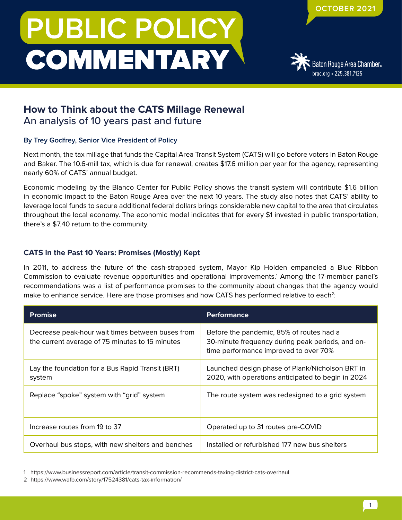# **PUBLIC POLICY COMMENTARY**



# **How to Think about the CATS Millage Renewal** An analysis of 10 years past and future

## **By Trey Godfrey, Senior Vice President of Policy**

Next month, the tax millage that funds the Capital Area Transit System (CATS) will go before voters in Baton Rouge and Baker. The 10.6-mill tax, which is due for renewal, creates \$17.6 million per year for the agency, representing nearly 60% of CATS' annual budget.

Economic modeling by the Blanco Center for Public Policy shows the transit system will contribute \$1.6 billion in economic impact to the Baton Rouge Area over the next 10 years. The study also notes that CATS' ability to leverage local funds to secure additional federal dollars brings considerable new capital to the area that circulates throughout the local economy. The economic model indicates that for every \$1 invested in public transportation, there's a \$7.40 return to the community.

# **CATS in the Past 10 Years: Promises (Mostly) Kept**

In 2011, to address the future of the cash-strapped system, Mayor Kip Holden empaneled a Blue Ribbon Commission to evaluate revenue opportunities and operational improvements.<sup>1</sup> Among the 17-member panel's recommendations was a list of performance promises to the community about changes that the agency would make to enhance service. Here are those promises and how CATS has performed relative to each<sup>2</sup>:

| <b>Promise</b>                                                                                      | <b>Performance</b>                                                                                                                    |
|-----------------------------------------------------------------------------------------------------|---------------------------------------------------------------------------------------------------------------------------------------|
| Decrease peak-hour wait times between buses from<br>the current average of 75 minutes to 15 minutes | Before the pandemic, 85% of routes had a<br>30-minute frequency during peak periods, and on-<br>time performance improved to over 70% |
| Lay the foundation for a Bus Rapid Transit (BRT)<br>system                                          | Launched design phase of Plank/Nicholson BRT in<br>2020, with operations anticipated to begin in 2024                                 |
| Replace "spoke" system with "grid" system                                                           | The route system was redesigned to a grid system                                                                                      |
| Increase routes from 19 to 37                                                                       | Operated up to 31 routes pre-COVID                                                                                                    |
| Overhaul bus stops, with new shelters and benches                                                   | Installed or refurbished 177 new bus shelters                                                                                         |

1 https://www.businessreport.com/article/transit-commission-recommends-taxing-district-cats-overhaul

<sup>2</sup> https://www.wafb.com/story/17524381/cats-tax-information/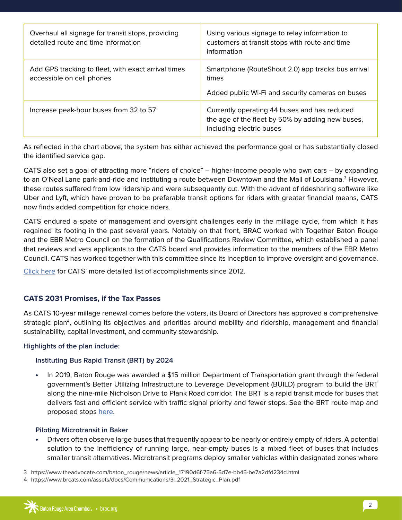| Overhaul all signage for transit stops, providing<br>detailed route and time information | Using various signage to relay information to<br>customers at transit stops with route and time<br>information               |
|------------------------------------------------------------------------------------------|------------------------------------------------------------------------------------------------------------------------------|
| Add GPS tracking to fleet, with exact arrival times<br>accessible on cell phones         | Smartphone (RouteShout 2.0) app tracks bus arrival<br>times<br>Added public Wi-Fi and security cameras on buses              |
| Increase peak-hour buses from 32 to 57                                                   | Currently operating 44 buses and has reduced<br>the age of the fleet by 50% by adding new buses,<br>including electric buses |

As reflected in the chart above, the system has either achieved the performance goal or has substantially closed the identified service gap.

CATS also set a goal of attracting more "riders of choice" – higher-income people who own cars – by expanding to an O'Neal Lane park-and-ride and instituting a route between Downtown and the Mall of Louisiana.<sup>3</sup> However, these routes suffered from low ridership and were subsequently cut. With the advent of ridesharing software like Uber and Lyft, which have proven to be preferable transit options for riders with greater financial means, CATS now finds added competition for choice riders.

CATS endured a spate of management and oversight challenges early in the millage cycle, from which it has regained its footing in the past several years. Notably on that front, BRAC worked with Together Baton Rouge and the EBR Metro Council on the formation of the Qualifications Review Committee, which established a panel that reviews and vets applicants to the CATS board and provides information to the members of the EBR Metro Council. CATS has worked together with this committee since its inception to improve oversight and governance.

[Click here](https://www.brcats.com/assets/docs/cats-connects/Resource_Library/One-Pagers/CATS_Connects_Promises_Kept.pdf) for CATS' more detailed list of accomplishments since 2012.

### **CATS 2031 Promises, if the Tax Passes**

As CATS 10-year millage renewal comes before the voters, its Board of Directors has approved a comprehensive strategic plan<sup>4</sup>, outlining its objectives and priorities around mobility and ridership, management and financial sustainability, capital investment, and community stewardship.

#### **Highlights of the plan include:**

### **Instituting Bus Rapid Transit (BRT) by 2024**

**•** In 2019, Baton Rouge was awarded a \$15 million Department of Transportation grant through the federal government's Better Utilizing Infrastructure to Leverage Development (BUILD) program to build the BRT along the nine-mile Nicholson Drive to Plank Road corridor. The BRT is a rapid transit mode for buses that delivers fast and efficient service with traffic signal priority and fewer stops. See the BRT route map and proposed stops [here](https://www.batonrougebrt.com/#map).

### **Piloting Microtransit in Baker**

**•** Drivers often observe large buses that frequently appear to be nearly or entirely empty of riders. A potential solution to the inefficiency of running large, near-empty buses is a mixed fleet of buses that includes smaller transit alternatives. Microtransit programs deploy smaller vehicles within designated zones where

3 https://www.theadvocate.com/baton\_rouge/news/article\_17190d6f-75a6-5d7e-bb45-be7a2dfd234d.html

4 https://www.brcats.com/assets/docs/Communications/3\_2021\_Strategic\_Plan.pdf